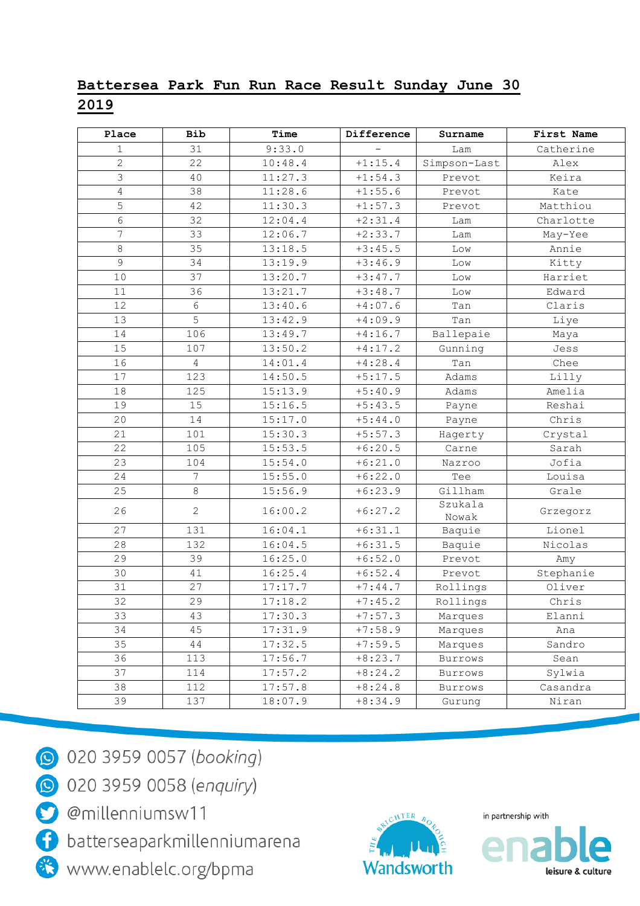## Battersea Park Fun Run Race Result Sunday June 30 2019

| Place           | <b>Bib</b>       | Time    | Difference | Surname          | First Name |
|-----------------|------------------|---------|------------|------------------|------------|
| $\mathbf{1}$    | 31               | 9:33.0  |            | Lam              | Catherine  |
| $\overline{2}$  | 22               | 10:48.4 | $+1:15.4$  | Simpson-Last     | Alex       |
| 3               | 40               | 11:27.3 | $+1:54.3$  | Prevot           | Keira      |
| $\overline{4}$  | 38               | 11:28.6 | $+1:55.6$  | Prevot           | Kate       |
| 5               | 42               | 11:30.3 | $+1:57.3$  | Prevot           | Matthiou   |
| $\epsilon$      | 32               | 12:04.4 | $+2:31.4$  | Lam              | Charlotte  |
| $\overline{7}$  | 33               | 12:06.7 | $+2:33.7$  | Lam              | May-Yee    |
| 8               | 35               | 13:18.5 | $+3:45.5$  | Low              | Annie      |
| $\overline{9}$  | 34               | 13:19.9 | $+3:46.9$  | $_{\rm Low}$     | Kitty      |
| 10              | 37               | 13:20.7 | $+3:47.7$  | Low              | Harriet    |
| 11              | 36               | 13:21.7 | $+3:48.7$  | Low              | Edward     |
| 12              | 6                | 13:40.6 | $+4:07.6$  | Tan              | Claris     |
| 13              | 5                | 13:42.9 | $+4:09.9$  | Tan              | Liye       |
| 14              | 106              | 13:49.7 | $+4:16.7$  | Ballepaie        | Maya       |
| 15              | 107              | 13:50.2 | $+4:17.2$  | Gunning          | Jess       |
| 16              | $\overline{4}$   | 14:01.4 | $+4:28.4$  | Tan              | Chee       |
| 17              | 123              | 14:50.5 | $+5:17.5$  | Adams            | Lilly      |
| 18              | 125              | 15:13.9 | $+5:40.9$  | Adams            | Amelia     |
| 19              | 15               | 15:16.5 | $+5:43.5$  | Payne            | Reshai     |
| 20              | 14               | 15:17.0 | $+5:44.0$  | Payne            | Chris      |
| 21              | 101              | 15:30.3 | $+5:57.3$  | Hagerty          | Crystal    |
| 22              | 105              | 15:53.5 | $+6:20.5$  | Carne            | Sarah      |
| 23              | 104              | 15:54.0 | $+6:21.0$  | Nazroo           | Jofia      |
| 24              | $\boldsymbol{7}$ | 15:55.0 | $+6:22.0$  | Tee              | Louisa     |
| 25              | $\,8\,$          | 15:56.9 | $+6:23.9$  | Gillham          | Grale      |
| 26              | $\mathbf{2}$     | 16:00.2 | $+6:27.2$  | Szukala<br>Nowak | Grzegorz   |
| 27              | 131              | 16:04.1 | $+6:31.1$  | Baquie           | Lionel     |
| 28              | 132              | 16:04.5 | $+6:31.5$  | Baquie           | Nicolas    |
| 29              | 39               | 16:25.0 | $+6:52.0$  | Prevot           | Amy        |
| 30              | 41               | 16:25.4 | $+6:52.4$  | Prevot           | Stephanie  |
| 31              | 27               | 17:17.7 | $+7:44.7$  | Rollings         | Oliver     |
| $\overline{3}2$ | 29               | 17:18.2 | $+7:45.2$  | Rollings         | Chris      |
| 33              | 43               | 17:30.3 | $+7:57.3$  | Marques          | Elanni     |
| 34              | 45               | 17:31.9 | $+7:58.9$  | Marques          | Ana        |
| 35              | 44               | 17:32.5 | $+7:59.5$  | Marques          | Sandro     |
| 36              | 113              | 17:56.7 | $+8:23.7$  | Burrows          | Sean       |
| 37              | 114              | 17:57.2 | $+8:24.2$  | Burrows          | Sylwia     |
| 38              | 112              | 17:57.8 | $+8:24.8$  | Burrows          | Casandra   |
| 39              | 137              | 18:07.9 | $+8:34.9$  | Gurung           | Niran      |



20 020 3959 0057 (booking)

**9** 020 3959 0058 (enquiry)

@millenniumsw11

batterseaparkmillenniumarena

www.enablelc.org/bpma



in partnership with